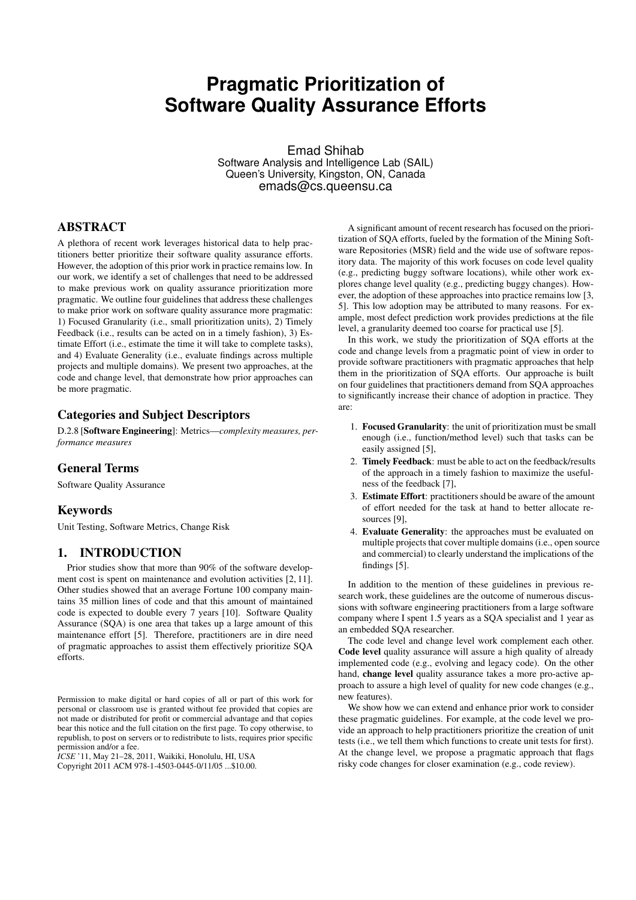# **Pragmatic Prioritization of Software Quality Assurance Efforts**

Emad Shihab Software Analysis and Intelligence Lab (SAIL) Queen's University, Kingston, ON, Canada emads@cs.queensu.ca

# ABSTRACT

A plethora of recent work leverages historical data to help practitioners better prioritize their software quality assurance efforts. However, the adoption of this prior work in practice remains low. In our work, we identify a set of challenges that need to be addressed to make previous work on quality assurance prioritization more pragmatic. We outline four guidelines that address these challenges to make prior work on software quality assurance more pragmatic: 1) Focused Granularity (i.e., small prioritization units), 2) Timely Feedback (i.e., results can be acted on in a timely fashion), 3) Estimate Effort (i.e., estimate the time it will take to complete tasks), and 4) Evaluate Generality (i.e., evaluate findings across multiple projects and multiple domains). We present two approaches, at the code and change level, that demonstrate how prior approaches can be more pragmatic.

# Categories and Subject Descriptors

D.2.8 [Software Engineering]: Metrics—*complexity measures, performance measures*

# General Terms

Software Quality Assurance

# Keywords

Unit Testing, Software Metrics, Change Risk

# 1. INTRODUCTION

Prior studies show that more than 90% of the software development cost is spent on maintenance and evolution activities [2, 11]. Other studies showed that an average Fortune 100 company maintains 35 million lines of code and that this amount of maintained code is expected to double every 7 years [10]. Software Quality Assurance (SQA) is one area that takes up a large amount of this maintenance effort [5]. Therefore, practitioners are in dire need of pragmatic approaches to assist them effectively prioritize SQA efforts.

*ICSE* '11, May 21–28, 2011, Waikiki, Honolulu, HI, USA

Copyright 2011 ACM 978-1-4503-0445-0/11/05 ...\$10.00.

A significant amount of recent research has focused on the prioritization of SQA efforts, fueled by the formation of the Mining Software Repositories (MSR) field and the wide use of software repository data. The majority of this work focuses on code level quality (e.g., predicting buggy software locations), while other work explores change level quality (e.g., predicting buggy changes). However, the adoption of these approaches into practice remains low [3, 5]. This low adoption may be attributed to many reasons. For example, most defect prediction work provides predictions at the file level, a granularity deemed too coarse for practical use [5].

In this work, we study the prioritization of SQA efforts at the code and change levels from a pragmatic point of view in order to provide software practitioners with pragmatic approaches that help them in the prioritization of SQA efforts. Our approache is built on four guidelines that practitioners demand from SQA approaches to significantly increase their chance of adoption in practice. They are:

- 1. Focused Granularity: the unit of prioritization must be small enough (i.e., function/method level) such that tasks can be easily assigned [5],
- 2. Timely Feedback: must be able to act on the feedback/results of the approach in a timely fashion to maximize the usefulness of the feedback [7],
- 3. Estimate Effort: practitioners should be aware of the amount of effort needed for the task at hand to better allocate resources [9],
- 4. Evaluate Generality: the approaches must be evaluated on multiple projects that cover multiple domains (i.e., open source and commercial) to clearly understand the implications of the findings [5].

In addition to the mention of these guidelines in previous research work, these guidelines are the outcome of numerous discussions with software engineering practitioners from a large software company where I spent 1.5 years as a SQA specialist and 1 year as an embedded SQA researcher.

The code level and change level work complement each other. Code level quality assurance will assure a high quality of already implemented code (e.g., evolving and legacy code). On the other hand, **change level** quality assurance takes a more pro-active approach to assure a high level of quality for new code changes (e.g., new features).

We show how we can extend and enhance prior work to consider these pragmatic guidelines. For example, at the code level we provide an approach to help practitioners prioritize the creation of unit tests (i.e., we tell them which functions to create unit tests for first). At the change level, we propose a pragmatic approach that flags risky code changes for closer examination (e.g., code review).

Permission to make digital or hard copies of all or part of this work for personal or classroom use is granted without fee provided that copies are not made or distributed for profit or commercial advantage and that copies bear this notice and the full citation on the first page. To copy otherwise, to republish, to post on servers or to redistribute to lists, requires prior specific permission and/or a fee.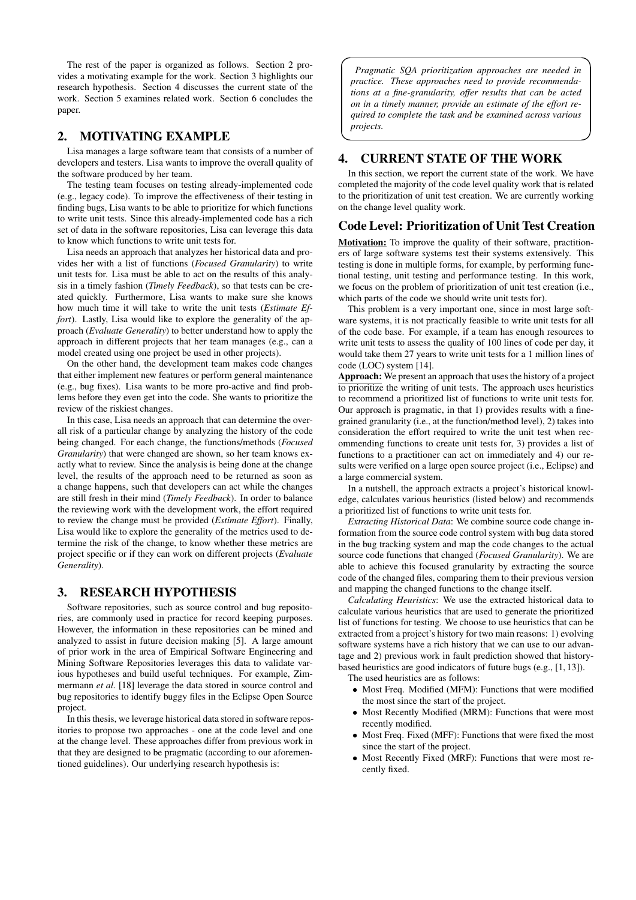The rest of the paper is organized as follows. Section 2 provides a motivating example for the work. Section 3 highlights our research hypothesis. Section 4 discusses the current state of the work. Section 5 examines related work. Section 6 concludes the paper.

# 2. MOTIVATING EXAMPLE

Lisa manages a large software team that consists of a number of developers and testers. Lisa wants to improve the overall quality of the software produced by her team.

The testing team focuses on testing already-implemented code (e.g., legacy code). To improve the effectiveness of their testing in finding bugs, Lisa wants to be able to prioritize for which functions to write unit tests. Since this already-implemented code has a rich set of data in the software repositories, Lisa can leverage this data to know which functions to write unit tests for.

Lisa needs an approach that analyzes her historical data and provides her with a list of functions (*Focused Granularity*) to write unit tests for. Lisa must be able to act on the results of this analysis in a timely fashion (*Timely Feedback*), so that tests can be created quickly. Furthermore, Lisa wants to make sure she knows how much time it will take to write the unit tests (*Estimate Effort*). Lastly, Lisa would like to explore the generality of the approach (*Evaluate Generality*) to better understand how to apply the approach in different projects that her team manages (e.g., can a model created using one project be used in other projects).

On the other hand, the development team makes code changes that either implement new features or perform general maintenance (e.g., bug fixes). Lisa wants to be more pro-active and find problems before they even get into the code. She wants to prioritize the review of the riskiest changes.

In this case, Lisa needs an approach that can determine the overall risk of a particular change by analyzing the history of the code being changed. For each change, the functions/methods (*Focused Granularity*) that were changed are shown, so her team knows exactly what to review. Since the analysis is being done at the change level, the results of the approach need to be returned as soon as a change happens, such that developers can act while the changes are still fresh in their mind (*Timely Feedback*). In order to balance the reviewing work with the development work, the effort required to review the change must be provided (*Estimate Effort*). Finally, Lisa would like to explore the generality of the metrics used to determine the risk of the change, to know whether these metrics are project specific or if they can work on different projects (*Evaluate Generality*).

# 3. RESEARCH HYPOTHESIS

Software repositories, such as source control and bug repositories, are commonly used in practice for record keeping purposes. However, the information in these repositories can be mined and analyzed to assist in future decision making [5]. A large amount of prior work in the area of Empirical Software Engineering and Mining Software Repositories leverages this data to validate various hypotheses and build useful techniques. For example, Zimmermann *et al.* [18] leverage the data stored in source control and bug repositories to identify buggy files in the Eclipse Open Source project.

In this thesis, we leverage historical data stored in software repositories to propose two approaches - one at the code level and one at the change level. These approaches differ from previous work in that they are designed to be pragmatic (according to our aforementioned guidelines). Our underlying research hypothesis is:

*Pragmatic SQA prioritization approaches are needed in practice. These approaches need to provide recommendations at a fine-granularity, offer results that can be acted on in a timely manner, provide an estimate of the effort required to complete the task and be examined across various projects.*

☞

# 4. CURRENT STATE OF THE WORK

 $\overline{$ 

✍

In this section, we report the current state of the work. We have completed the majority of the code level quality work that is related to the prioritization of unit test creation. We are currently working on the change level quality work.

# Code Level: Prioritization of Unit Test Creation

Motivation: To improve the quality of their software, practitioners of large software systems test their systems extensively. This testing is done in multiple forms, for example, by performing functional testing, unit testing and performance testing. In this work, we focus on the problem of prioritization of unit test creation (i.e., which parts of the code we should write unit tests for).

This problem is a very important one, since in most large software systems, it is not practically feasible to write unit tests for all of the code base. For example, if a team has enough resources to write unit tests to assess the quality of 100 lines of code per day, it would take them 27 years to write unit tests for a 1 million lines of code (LOC) system [14].

Approach: We present an approach that uses the history of a project to prioritize the writing of unit tests. The approach uses heuristics to recommend a prioritized list of functions to write unit tests for. Our approach is pragmatic, in that 1) provides results with a finegrained granularity (i.e., at the function/method level), 2) takes into consideration the effort required to write the unit test when recommending functions to create unit tests for, 3) provides a list of functions to a practitioner can act on immediately and 4) our results were verified on a large open source project (i.e., Eclipse) and a large commercial system.

In a nutshell, the approach extracts a project's historical knowledge, calculates various heuristics (listed below) and recommends a prioritized list of functions to write unit tests for.

*Extracting Historical Data*: We combine source code change information from the source code control system with bug data stored in the bug tracking system and map the code changes to the actual source code functions that changed (*Focused Granularity*). We are able to achieve this focused granularity by extracting the source code of the changed files, comparing them to their previous version and mapping the changed functions to the change itself.

*Calculating Heuristics*: We use the extracted historical data to calculate various heuristics that are used to generate the prioritized list of functions for testing. We choose to use heuristics that can be extracted from a project's history for two main reasons: 1) evolving software systems have a rich history that we can use to our advantage and 2) previous work in fault prediction showed that historybased heuristics are good indicators of future bugs (e.g., [1, 13]).

The used heuristics are as follows:

- Most Freq. Modified (MFM): Functions that were modified the most since the start of the project.
- Most Recently Modified (MRM): Functions that were most recently modified.
- Most Freq. Fixed (MFF): Functions that were fixed the most since the start of the project.
- Most Recently Fixed (MRF): Functions that were most recently fixed.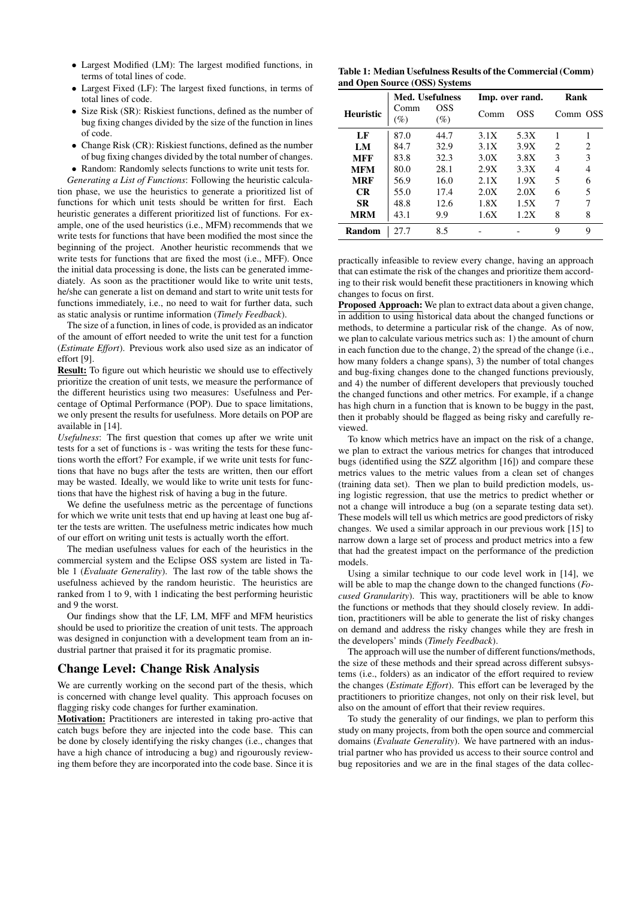- Largest Modified (LM): The largest modified functions, in terms of total lines of code.
- Largest Fixed (LF): The largest fixed functions, in terms of total lines of code.
- Size Risk (SR): Riskiest functions, defined as the number of bug fixing changes divided by the size of the function in lines of code.
- Change Risk (CR): Riskiest functions, defined as the number of bug fixing changes divided by the total number of changes. • Random: Randomly selects functions to write unit tests for.
- 

*Generating a List of Functions*: Following the heuristic calculation phase, we use the heuristics to generate a prioritized list of functions for which unit tests should be written for first. Each heuristic generates a different prioritized list of functions. For example, one of the used heuristics (i.e., MFM) recommends that we write tests for functions that have been modified the most since the beginning of the project. Another heuristic recommends that we write tests for functions that are fixed the most (i.e., MFF). Once the initial data processing is done, the lists can be generated immediately. As soon as the practitioner would like to write unit tests, he/she can generate a list on demand and start to write unit tests for functions immediately, i.e., no need to wait for further data, such as static analysis or runtime information (*Timely Feedback*).

The size of a function, in lines of code, is provided as an indicator of the amount of effort needed to write the unit test for a function (*Estimate Effort*). Previous work also used size as an indicator of effort [9].

Result: To figure out which heuristic we should use to effectively prioritize the creation of unit tests, we measure the performance of the different heuristics using two measures: Usefulness and Percentage of Optimal Performance (POP). Due to space limitations, we only present the results for usefulness. More details on POP are available in [14].

*Usefulness*: The first question that comes up after we write unit tests for a set of functions is - was writing the tests for these functions worth the effort? For example, if we write unit tests for functions that have no bugs after the tests are written, then our effort may be wasted. Ideally, we would like to write unit tests for functions that have the highest risk of having a bug in the future.

We define the usefulness metric as the percentage of functions for which we write unit tests that end up having at least one bug after the tests are written. The usefulness metric indicates how much of our effort on writing unit tests is actually worth the effort.

The median usefulness values for each of the heuristics in the commercial system and the Eclipse OSS system are listed in Table 1 (*Evaluate Generality*). The last row of the table shows the usefulness achieved by the random heuristic. The heuristics are ranked from 1 to 9, with 1 indicating the best performing heuristic and 9 the worst.

Our findings show that the LF, LM, MFF and MFM heuristics should be used to prioritize the creation of unit tests. The approach was designed in conjunction with a development team from an industrial partner that praised it for its pragmatic promise.

#### Change Level: Change Risk Analysis

We are currently working on the second part of the thesis, which is concerned with change level quality. This approach focuses on flagging risky code changes for further examination.

Motivation: Practitioners are interested in taking pro-active that catch bugs before they are injected into the code base. This can be done by closely identifying the risky changes (i.e., changes that have a high chance of introducing a bug) and rigourously reviewing them before they are incorporated into the code base. Since it is

Table 1: Median Usefulness Results of the Commercial (Comm) and Open Source (OSS) Systems

|                  | Med. Usefulness |            | Imp. over rand. | Rank |                |   |
|------------------|-----------------|------------|-----------------|------|----------------|---|
| <b>Heuristic</b> | Comm<br>$(\%)$  | OSS<br>(%) | Comm            | OSS  | Comm OSS       |   |
| LF               | 87.0            | 44.7       | 3.1X            | 5.3X |                | 1 |
| LM               | 84.7            | 32.9       | 3.1X            | 3.9X | $\mathfrak{D}$ | 2 |
| <b>MFF</b>       | 83.8            | 32.3       | 3.0X            | 3.8X | 3              | 3 |
| <b>MFM</b>       | 80.0            | 28.1       | 2.9X            | 3.3X | 4              | 4 |
| <b>MRF</b>       | 56.9            | 16.0       | 2.1X            | 1.9X | 5              | 6 |
| CR               | 55.0            | 17.4       | 2.0X            | 2.0X | 6              | 5 |
| <b>SR</b>        | 48.8            | 12.6       | 1.8X            | 1.5X | 7              | 7 |
| <b>MRM</b>       | 43.1            | 9.9        | 1.6X            | 1.2X | 8              | 8 |
| Random           | 27 T            | 8.5        |                 |      | 9              | 9 |

practically infeasible to review every change, having an approach that can estimate the risk of the changes and prioritize them according to their risk would benefit these practitioners in knowing which changes to focus on first.

Proposed Approach: We plan to extract data about a given change, in addition to using historical data about the changed functions or methods, to determine a particular risk of the change. As of now, we plan to calculate various metrics such as: 1) the amount of churn in each function due to the change, 2) the spread of the change (i.e., how many folders a change spans), 3) the number of total changes and bug-fixing changes done to the changed functions previously, and 4) the number of different developers that previously touched the changed functions and other metrics. For example, if a change has high churn in a function that is known to be buggy in the past, then it probably should be flagged as being risky and carefully reviewed.

To know which metrics have an impact on the risk of a change, we plan to extract the various metrics for changes that introduced bugs (identified using the SZZ algorithm [16]) and compare these metrics values to the metric values from a clean set of changes (training data set). Then we plan to build prediction models, using logistic regression, that use the metrics to predict whether or not a change will introduce a bug (on a separate testing data set). These models will tell us which metrics are good predictors of risky changes. We used a similar approach in our previous work [15] to narrow down a large set of process and product metrics into a few that had the greatest impact on the performance of the prediction models.

Using a similar technique to our code level work in [14], we will be able to map the change down to the changed functions (*Focused Granularity*). This way, practitioners will be able to know the functions or methods that they should closely review. In addition, practitioners will be able to generate the list of risky changes on demand and address the risky changes while they are fresh in the developers' minds (*Timely Feedback*).

The approach will use the number of different functions/methods, the size of these methods and their spread across different subsystems (i.e., folders) as an indicator of the effort required to review the changes (*Estimate Effort*). This effort can be leveraged by the practitioners to prioritize changes, not only on their risk level, but also on the amount of effort that their review requires.

To study the generality of our findings, we plan to perform this study on many projects, from both the open source and commercial domains (*Evaluate Generality*). We have partnered with an industrial partner who has provided us access to their source control and bug repositories and we are in the final stages of the data collec